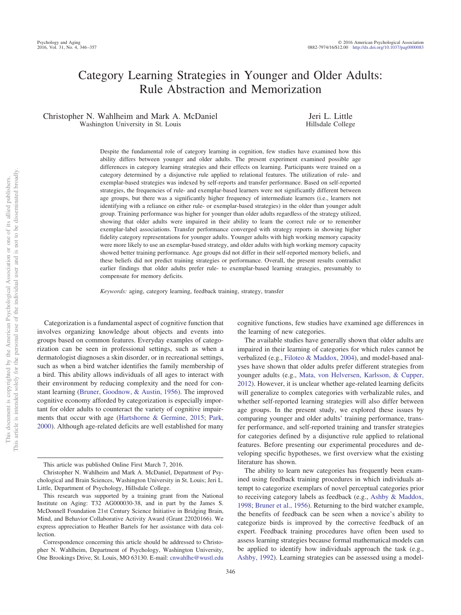# Category Learning Strategies in Younger and Older Adults: Rule Abstraction and Memorization

Christopher N. Wahlheim and Mark A. McDaniel Washington University in St. Louis

Jeri L. Little Hillsdale College

Despite the fundamental role of category learning in cognition, few studies have examined how this ability differs between younger and older adults. The present experiment examined possible age differences in category learning strategies and their effects on learning. Participants were trained on a category determined by a disjunctive rule applied to relational features. The utilization of rule- and exemplar-based strategies was indexed by self-reports and transfer performance. Based on self-reported strategies, the frequencies of rule- and exemplar-based learners were not significantly different between age groups, but there was a significantly higher frequency of intermediate learners (i.e., learners not identifying with a reliance on either rule- or exemplar-based strategies) in the older than younger adult group. Training performance was higher for younger than older adults regardless of the strategy utilized, showing that older adults were impaired in their ability to learn the correct rule or to remember exemplar-label associations. Transfer performance converged with strategy reports in showing higher fidelity category representations for younger adults. Younger adults with high working memory capacity were more likely to use an exemplar-based strategy, and older adults with high working memory capacity showed better training performance. Age groups did not differ in their self-reported memory beliefs, and these beliefs did not predict training strategies or performance. Overall, the present results contradict earlier findings that older adults prefer rule- to exemplar-based learning strategies, presumably to compensate for memory deficits.

*Keywords:* aging, category learning, feedback training, strategy, transfer

Categorization is a fundamental aspect of cognitive function that involves organizing knowledge about objects and events into groups based on common features. Everyday examples of categorization can be seen in professional settings, such as when a dermatologist diagnoses a skin disorder, or in recreational settings, such as when a bird watcher identifies the family membership of a bird. This ability allows individuals of all ages to interact with their environment by reducing complexity and the need for constant learning [\(Bruner, Goodnow, & Austin, 1956\)](#page-10-0). The improved cognitive economy afforded by categorization is especially important for older adults to counteract the variety of cognitive impairments that occur with age [\(Hartshorne & Germine, 2015;](#page-10-1) [Park,](#page-10-2) [2000\)](#page-10-2). Although age-related deficits are well established for many

cognitive functions, few studies have examined age differences in the learning of new categories.

The available studies have generally shown that older adults are impaired in their learning of categories for which rules cannot be verbalized (e.g., [Filoteo & Maddox, 2004\)](#page-10-3), and model-based analyses have shown that older adults prefer different strategies from younger adults (e.g., [Mata, von Helversen, Karlsson, & Cupper,](#page-10-4) [2012\)](#page-10-4). However, it is unclear whether age-related learning deficits will generalize to complex categories with verbalizable rules, and whether self-reported learning strategies will also differ between age groups. In the present study, we explored these issues by comparing younger and older adults' training performance, transfer performance, and self-reported training and transfer strategies for categories defined by a disjunctive rule applied to relational features. Before presenting our experimental procedures and developing specific hypotheses, we first overview what the existing literature has shown.

The ability to learn new categories has frequently been examined using feedback training procedures in which individuals attempt to categorize exemplars of novel perceptual categories prior to receiving category labels as feedback (e.g., [Ashby & Maddox,](#page-10-5) [1998;](#page-10-5) [Bruner et al., 1956\)](#page-10-0). Returning to the bird watcher example, the benefits of feedback can be seen when a novice's ability to categorize birds is improved by the corrective feedback of an expert. Feedback training procedures have often been used to assess learning strategies because formal mathematical models can be applied to identify how individuals approach the task (e.g., [Ashby, 1992\)](#page-10-6). Learning strategies can be assessed using a model-

This article was published Online First March 7, 2016.

Christopher N. Wahlheim and Mark A. McDaniel, Department of Psychological and Brain Sciences, Washington University in St. Louis; Jeri L. Little, Department of Psychology, Hillsdale College.

This research was supported by a training grant from the National Institute on Aging: T32 AG000030-38, and in part by the James S. McDonnell Foundation 21st Century Science Initiative in Bridging Brain, Mind, and Behavior Collaborative Activity Award (Grant 22020166). We express appreciation to Heather Bartels for her assistance with data collection.

Correspondence concerning this article should be addressed to Christopher N. Wahlheim, Department of Psychology, Washington University, One Brookings Drive, St. Louis, MO 63130. E-mail: [cnwahlhe@wustl.edu](mailto:cnwahlhe@wustl.edu)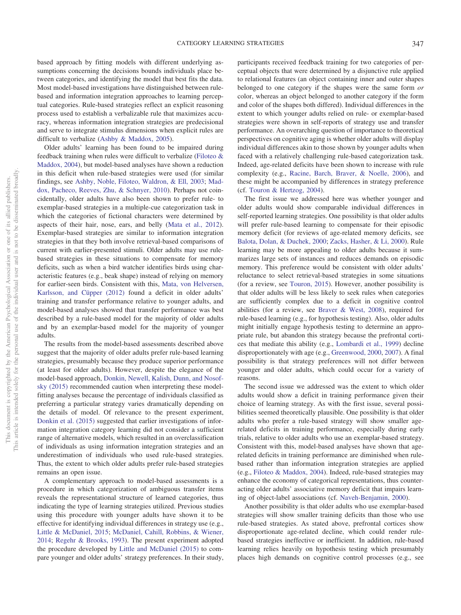based approach by fitting models with different underlying assumptions concerning the decisions bounds individuals place between categories, and identifying the model that best fits the data. Most model-based investigations have distinguished between rulebased and information integration approaches to learning perceptual categories. Rule-based strategies reflect an explicit reasoning process used to establish a verbalizable rule that maximizes accuracy, whereas information integration strategies are predecisional and serve to integrate stimulus dimensions when explicit rules are difficult to verbalize [\(Ashby & Maddox, 2005\)](#page-10-7).

Older adults' learning has been found to be impaired during feedback training when rules were difficult to verbalize [\(Filoteo &](#page-10-3) [Maddox, 2004\)](#page-10-3), but model-based analyses have shown a reduction in this deficit when rule-based strategies were used (for similar findings, see [Ashby, Noble, Filoteo, Waldron, & Ell, 2003;](#page-10-8) [Mad](#page-10-9)[dox, Pacheco, Reeves, Zhu, & Schnyer, 2010\)](#page-10-9). Perhaps not coincidentally, older adults have also been shown to prefer rule- to exemplar-based strategies in a multiple-cue categorization task in which the categories of fictional characters were determined by aspects of their hair, nose, ears, and belly [\(Mata et al., 2012\)](#page-10-4). Exemplar-based strategies are similar to information integration strategies in that they both involve retrieval-based comparisons of current with earlier-presented stimuli. Older adults may use rulebased strategies in these situations to compensate for memory deficits, such as when a bird watcher identifies birds using characteristic features (e.g., beak shape) instead of relying on memory for earlier-seen birds. Consistent with this, [Mata, von Helversen,](#page-10-4) [Karlsson, and Cüpper \(2012\)](#page-10-4) found a deficit in older adults' training and transfer performance relative to younger adults, and model-based analyses showed that transfer performance was best described by a rule-based model for the majority of older adults and by an exemplar-based model for the majority of younger adults.

The results from the model-based assessments described above suggest that the majority of older adults prefer rule-based learning strategies, presumably because they produce superior performance (at least for older adults). However, despite the elegance of the model-based approach, [Donkin, Newell, Kalish, Dunn, and Nosof](#page-10-10)[sky \(2015\)](#page-10-10) recommended caution when interpreting these modelfitting analyses because the percentage of individuals classified as preferring a particular strategy varies dramatically depending on the details of model. Of relevance to the present experiment, [Donkin et al. \(2015\)](#page-10-10) suggested that earlier investigations of information integration category learning did not consider a sufficient range of alternative models, which resulted in an overclassification of individuals as using information integration strategies and an underestimation of individuals who used rule-based strategies. Thus, the extent to which older adults prefer rule-based strategies remains an open issue.

A complementary approach to model-based assessments is a procedure in which categorization of ambiguous transfer items reveals the representational structure of learned categories, thus indicating the type of learning strategies utilized. Previous studies using this procedure with younger adults have shown it to be effective for identifying individual differences in strategy use (e.g., [Little & McDaniel, 2015;](#page-10-11) [McDaniel, Cahill, Robbins, & Wiener,](#page-10-12) [2014;](#page-10-12) [Regehr & Brooks, 1993\)](#page-11-0). The present experiment adopted the procedure developed by [Little and McDaniel \(2015\)](#page-10-11) to compare younger and older adults' strategy preferences. In their study,

participants received feedback training for two categories of perceptual objects that were determined by a disjunctive rule applied to relational features (an object containing inner and outer shapes belonged to one category if the shapes were the same form *or* color, whereas an object belonged to another category if the form and color of the shapes both differed). Individual differences in the extent to which younger adults relied on rule- or exemplar-based strategies were shown in self-reports of strategy use and transfer performance. An overarching question of importance to theoretical perspectives on cognitive aging is whether older adults will display individual differences akin to those shown by younger adults when faced with a relatively challenging rule-based categorization task. Indeed, age-related deficits have been shown to increase with rule complexity (e.g., [Racine, Barch, Braver, & Noelle, 2006\)](#page-11-1), and these might be accompanied by differences in strategy preference (cf. [Touron & Hertzog, 2004\)](#page-11-2).

The first issue we addressed here was whether younger and older adults would show comparable individual differences in self-reported learning strategies. One possibility is that older adults will prefer rule-based learning to compensate for their episodic memory deficit (for reviews of age-related memory deficits, see [Balota, Dolan, & Duchek, 2000;](#page-10-13) [Zacks, Hasher, & Li, 2000\)](#page-11-3). Rule learning may be more appealing to older adults because it summarizes large sets of instances and reduces demands on episodic memory. This preference would be consistent with older adults' reluctance to select retrieval-based strategies in some situations (for a review, see [Touron, 2015\)](#page-11-4). However, another possibility is that older adults will be less likely to seek rules when categories are sufficiently complex due to a deficit in cognitive control abilities (for a review, see [Braver & West, 2008\)](#page-10-14), required for rule-based learning (e.g., for hypothesis testing). Also, older adults might initially engage hypothesis testing to determine an appropriate rule, but abandon this strategy because the prefrontal cortices that mediate this ability (e.g., [Lombardi et al., 1999\)](#page-10-15) decline disproportionately with age (e.g., [Greenwood, 2000,](#page-10-16) [2007\)](#page-10-17). A final possibility is that strategy preferences will not differ between younger and older adults, which could occur for a variety of reasons.

The second issue we addressed was the extent to which older adults would show a deficit in training performance given their choice of learning strategy. As with the first issue, several possibilities seemed theoretically plausible. One possibility is that older adults who prefer a rule-based strategy will show smaller agerelated deficits in training performance, especially during early trials, relative to older adults who use an exemplar-based strategy. Consistent with this, model-based analyses have shown that agerelated deficits in training performance are diminished when rulebased rather than information integration strategies are applied (e.g., [Filoteo & Maddox, 2004\)](#page-10-3). Indeed, rule-based strategies may enhance the economy of categorical representations, thus counteracting older adults' associative memory deficit that impairs learning of object-label associations (cf. [Naveh-Benjamin, 2000\)](#page-10-18).

Another possibility is that older adults who use exemplar-based strategies will show smaller training deficits than those who use rule-based strategies. As stated above, prefrontal cortices show disproportionate age-related decline, which could render rulebased strategies ineffective or inefficient. In addition, rule-based learning relies heavily on hypothesis testing which presumably places high demands on cognitive control processes (e.g., see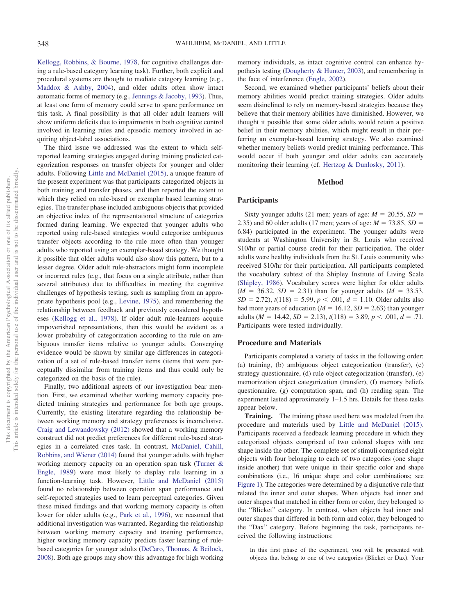[Kellogg, Robbins, & Bourne, 1978,](#page-10-19) for cognitive challenges during a rule-based category learning task). Further, both explicit and procedural systems are thought to mediate category learning (e.g., [Maddox & Ashby, 2004\)](#page-10-20), and older adults often show intact automatic forms of memory (e.g., [Jennings & Jacoby, 1993\)](#page-10-21). Thus, at least one form of memory could serve to spare performance on this task. A final possibility is that all older adult learners will show uniform deficits due to impairments in both cognitive control involved in learning rules and episodic memory involved in acquiring object-label associations.

The third issue we addressed was the extent to which selfreported learning strategies engaged during training predicted categorization responses on transfer objects for younger and older adults. Following [Little and McDaniel \(2015\),](#page-10-11) a unique feature of the present experiment was that participants categorized objects in both training and transfer phases, and then reported the extent to which they relied on rule-based or exemplar based learning strategies. The transfer phase included ambiguous objects that provided an objective index of the representational structure of categories formed during learning. We expected that younger adults who reported using rule-based strategies would categorize ambiguous transfer objects according to the rule more often than younger adults who reported using an exemplar-based strategy. We thought it possible that older adults would also show this pattern, but to a lesser degree. Older adult rule-abstractors might form incomplete or incorrect rules (e.g., that focus on a single attribute, rather than several attributes) due to difficulties in meeting the cognitive challenges of hypothesis testing, such as sampling from an appropriate hypothesis pool (e.g., [Levine, 1975\)](#page-10-22), and remembering the relationship between feedback and previously considered hypotheses [\(Kellogg et al., 1978\)](#page-10-19). If older adult rule-learners acquire impoverished representations, then this would be evident as a lower probability of categorization according to the rule on ambiguous transfer items relative to younger adults. Converging evidence would be shown by similar age differences in categorization of a set of rule-based transfer items (items that were perceptually dissimilar from training items and thus could only be categorized on the basis of the rule).

Finally, two additional aspects of our investigation bear mention. First, we examined whether working memory capacity predicted training strategies and performance for both age groups. Currently, the existing literature regarding the relationship between working memory and strategy preferences is inconclusive. [Craig and Lewandowsky \(2012\)](#page-10-23) showed that a working memory construct did not predict preferences for different rule-based strategies in a correlated cues task. In contrast, [McDaniel, Cahill,](#page-10-12) [Robbins, and Wiener \(2014\)](#page-10-12) found that younger adults with higher working memory capacity on an operation span task [\(Turner &](#page-11-5) [Engle, 1989\)](#page-11-5) were most likely to display rule learning in a function-learning task. However, [Little and McDaniel \(2015\)](#page-10-11) found no relationship between operation span performance and self-reported strategies used to learn perceptual categories. Given these mixed findings and that working memory capacity is often lower for older adults (e.g., [Park et al., 1996\)](#page-11-6), we reasoned that additional investigation was warranted. Regarding the relationship between working memory capacity and training performance, higher working memory capacity predicts faster learning of rulebased categories for younger adults [\(DeCaro, Thomas, & Beilock,](#page-10-24) [2008\)](#page-10-24). Both age groups may show this advantage for high working

memory individuals, as intact cognitive control can enhance hypothesis testing [\(Dougherty & Hunter, 2003\)](#page-10-25), and remembering in the face of interference [\(Engle, 2002\)](#page-10-26).

Second, we examined whether participants' beliefs about their memory abilities would predict training strategies. Older adults seem disinclined to rely on memory-based strategies because they believe that their memory abilities have diminished. However, we thought it possible that some older adults would retain a positive belief in their memory abilities, which might result in their preferring an exemplar-based learning strategy. We also examined whether memory beliefs would predict training performance. This would occur if both younger and older adults can accurately monitoring their learning (cf. [Hertzog & Dunlosky, 2011\)](#page-10-27).

### **Method**

# **Participants**

Sixty younger adults (21 men; years of age:  $M = 20.55$ ,  $SD =$ 2.35) and 60 older adults (17 men; years of age:  $M = 73.85$ ,  $SD =$ 6.84) participated in the experiment. The younger adults were students at Washington University in St. Louis who received \$10/hr or partial course credit for their participation. The older adults were healthy individuals from the St. Louis community who received \$10/hr for their participation. All participants completed the vocabulary subtest of the Shipley Institute of Living Scale [\(Shipley, 1986\)](#page-11-7). Vocabulary scores were higher for older adults  $(M = 36.32, SD = 2.31)$  than for younger adults  $(M = 33.53,$  $SD = 2.72$ ),  $t(118) = 5.99$ ,  $p < .001$ ,  $d = 1.10$ . Older adults also had more years of education  $(M = 16.12, SD = 2.63)$  than younger adults ( $M = 14.42$ ,  $SD = 2.13$ ),  $t(118) = 3.89$ ,  $p < .001$ ,  $d = .71$ . Participants were tested individually.

## **Procedure and Materials**

Participants completed a variety of tasks in the following order: (a) training, (b) ambiguous object categorization (transfer), (c) strategy questionnaire, (d) rule object categorization (transfer), (e) memorization object categorization (transfer), (f) memory beliefs questionnaire, (g) computation span, and (h) reading span. The experiment lasted approximately 1–1.5 hrs. Details for these tasks appear below.

**Training.** The training phase used here was modeled from the procedure and materials used by [Little and McDaniel \(2015\).](#page-10-11) Participants received a feedback learning procedure in which they categorized objects comprised of two colored shapes with one shape inside the other. The complete set of stimuli comprised eight objects with four belonging to each of two categories (one shape inside another) that were unique in their specific color and shape combinations (i.e., 16 unique shape and color combinations; see [Figure 1\)](#page-3-0). The categories were determined by a disjunctive rule that related the inner and outer shapes. When objects had inner and outer shapes that matched in either form or color, they belonged to the "Blicket" category. In contrast, when objects had inner and outer shapes that differed in both form and color, they belonged to the "Dax" category. Before beginning the task, participants received the following instructions:

In this first phase of the experiment, you will be presented with objects that belong to one of two categories (Blicket or Dax). Your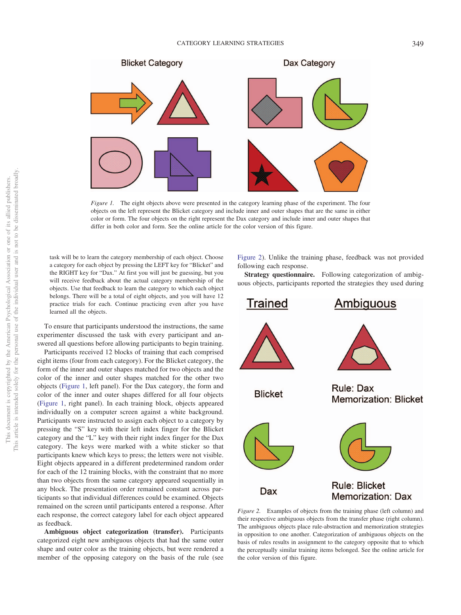

<span id="page-3-0"></span>*Figure 1.* The eight objects above were presented in the category learning phase of the experiment. The four objects on the left represent the Blicket category and include inner and outer shapes that are the same in either color or form. The four objects on the right represent the Dax category and include inner and outer shapes that differ in both color and form. See the online article for the color version of this figure.

task will be to learn the category membership of each object. Choose a category for each object by pressing the LEFT key for "Blicket" and the RIGHT key for "Dax." At first you will just be guessing, but you will receive feedback about the actual category membership of the objects. Use that feedback to learn the category to which each object belongs. There will be a total of eight objects, and you will have 12 practice trials for each. Continue practicing even after you have learned all the objects.

To ensure that participants understood the instructions, the same experimenter discussed the task with every participant and answered all questions before allowing participants to begin training.

Participants received 12 blocks of training that each comprised eight items (four from each category). For the Blicket category, the form of the inner and outer shapes matched for two objects and the color of the inner and outer shapes matched for the other two objects [\(Figure 1,](#page-3-0) left panel). For the Dax category, the form and color of the inner and outer shapes differed for all four objects [\(Figure 1,](#page-3-0) right panel). In each training block, objects appeared individually on a computer screen against a white background. Participants were instructed to assign each object to a category by pressing the "S" key with their left index finger for the Blicket category and the "L" key with their right index finger for the Dax category. The keys were marked with a white sticker so that participants knew which keys to press; the letters were not visible. Eight objects appeared in a different predetermined random order for each of the 12 training blocks, with the constraint that no more than two objects from the same category appeared sequentially in any block. The presentation order remained constant across participants so that individual differences could be examined. Objects remained on the screen until participants entered a response. After each response, the correct category label for each object appeared as feedback.

**Ambiguous object categorization (transfer).** Participants categorized eight new ambiguous objects that had the same outer shape and outer color as the training objects, but were rendered a member of the opposing category on the basis of the rule (see

[Figure 2\)](#page-3-1). Unlike the training phase, feedback was not provided following each response.

**Strategy questionnaire.** Following categorization of ambiguous objects, participants reported the strategies they used during



<span id="page-3-1"></span>*Figure 2.* Examples of objects from the training phase (left column) and their respective ambiguous objects from the transfer phase (right column). The ambiguous objects place rule-abstraction and memorization strategies in opposition to one another. Categorization of ambiguous objects on the basis of rules results in assignment to the category opposite that to which the perceptually similar training items belonged. See the online article for the color version of this figure.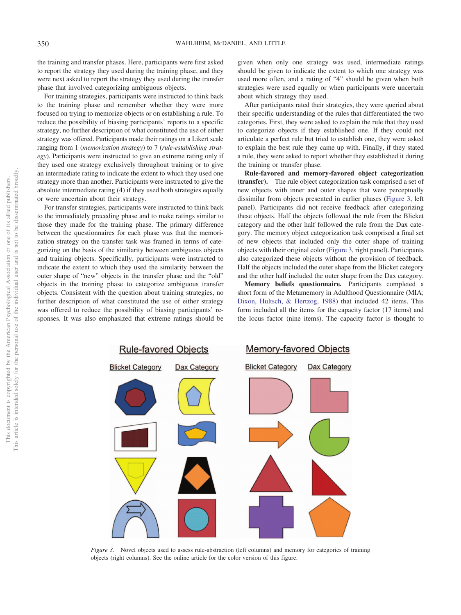the training and transfer phases. Here, participants were first asked to report the strategy they used during the training phase, and they were next asked to report the strategy they used during the transfer phase that involved categorizing ambiguous objects.

For training strategies, participants were instructed to think back to the training phase and remember whether they were more focused on trying to memorize objects or on establishing a rule. To reduce the possibility of biasing participants' reports to a specific strategy, no further description of what constituted the use of either strategy was offered. Participants made their ratings on a Likert scale ranging from 1 (*memorization strategy*) to 7 (*rule-establishing strategy*). Participants were instructed to give an extreme rating only if they used one strategy exclusively throughout training or to give an intermediate rating to indicate the extent to which they used one strategy more than another. Participants were instructed to give the absolute intermediate rating (4) if they used both strategies equally or were uncertain about their strategy.

For transfer strategies, participants were instructed to think back to the immediately preceding phase and to make ratings similar to those they made for the training phase. The primary difference between the questionnaires for each phase was that the memorization strategy on the transfer task was framed in terms of categorizing on the basis of the similarity between ambiguous objects and training objects. Specifically, participants were instructed to indicate the extent to which they used the similarity between the outer shape of "new" objects in the transfer phase and the "old" objects in the training phase to categorize ambiguous transfer objects. Consistent with the question about training strategies, no further description of what constituted the use of either strategy was offered to reduce the possibility of biasing participants' responses. It was also emphasized that extreme ratings should be given when only one strategy was used, intermediate ratings should be given to indicate the extent to which one strategy was used more often, and a rating of "4" should be given when both strategies were used equally or when participants were uncertain about which strategy they used.

After participants rated their strategies, they were queried about their specific understanding of the rules that differentiated the two categories. First, they were asked to explain the rule that they used to categorize objects if they established one. If they could not articulate a perfect rule but tried to establish one, they were asked to explain the best rule they came up with. Finally, if they stated a rule, they were asked to report whether they established it during the training or transfer phase.

**Rule-favored and memory-favored object categorization (transfer).** The rule object categorization task comprised a set of new objects with inner and outer shapes that were perceptually dissimilar from objects presented in earlier phases [\(Figure 3,](#page-4-0) left panel). Participants did not receive feedback after categorizing these objects. Half the objects followed the rule from the Blicket category and the other half followed the rule from the Dax category. The memory object categorization task comprised a final set of new objects that included only the outer shape of training objects with their original color [\(Figure 3,](#page-4-0) right panel). Participants also categorized these objects without the provision of feedback. Half the objects included the outer shape from the Blicket category and the other half included the outer shape from the Dax category.

**Memory beliefs questionnaire.** Participants completed a short form of the Metamemory in Adulthood Questionnaire (MIA; [Dixon, Hultsch, & Hertzog, 1988\)](#page-10-28) that included 42 items. This form included all the items for the capacity factor (17 items) and the locus factor (nine items). The capacity factor is thought to



<span id="page-4-0"></span>*Figure 3.* Novel objects used to assess rule-abstraction (left columns) and memory for categories of training objects (right columns). See the online article for the color version of this figure.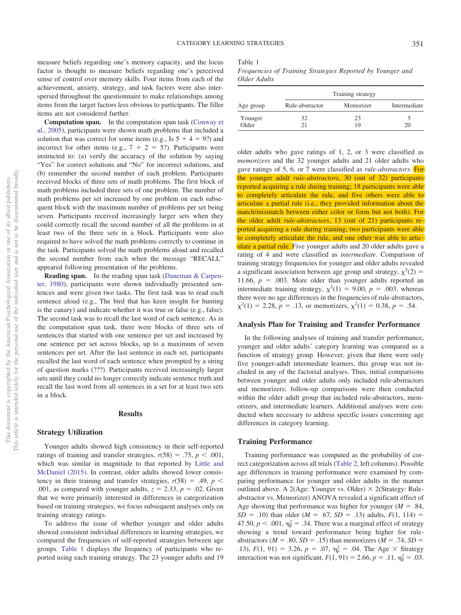measure beliefs regarding one's memory capacity, and the locus factor is thought to measure beliefs regarding one's perceived sense of control over memory skills. Four items from each of the achievement, anxiety, strategy, and task factors were also interspersed throughout the questionnaire to make relationships among items from the target factors less obvious to participants. The filler items are not considered further.

**Computation span.** In the computation span task [\(Conway et](#page-10-29) [al., 2005\)](#page-10-29), participants were shown math problems that included a solution that was correct for some items (e.g., Is  $5 + 4 = 9$ ?) and incorrect for other items (e.g.,  $7 + 2 = 5$ ?). Participants were instructed to: (a) verify the accuracy of the solution by saying "Yes" for correct solutions and "No" for incorrect solutions, and (b) remember the second number of each problem. Participants received blocks of three sets of math problems. The first block of math problems included three sets of one problem. The number of math problems per set increased by one problem on each subsequent block with the maximum number of problems per set being seven. Participants received increasingly larger sets when they could correctly recall the second number of all the problems in at least two of the three sets in a block. Participants were also required to have solved the math problems correctly to continue in the task. Participants solved the math problems aloud and recalled the second number from each when the message "RECALL" appeared following presentation of the problems.

**Reading span.** In the reading span task [\(Daneman & Carpen](#page-10-30)[ter, 1980\)](#page-10-30), participants were shown individually presented sentences and were given two tasks. The first task was to read each sentence aloud (e.g., The bird that has keen insight for hunting is the canary) and indicate whether it was true or false (e.g., false). The second task was to recall the last word of each sentence. As in the computation span task, there were blocks of three sets of sentences that started with one sentence per set and increased by one sentence per set across blocks, up to a maximum of seven sentences per set. After the last sentence in each set, participants recalled the last word of each sentence when prompted by a string of question marks (???). Participants received increasingly larger sets until they could no longer correctly indicate sentence truth and recall the last word from all sentences in a set for at least two sets in a block.

### **Results**

### **Strategy Utilization**

Younger adults showed high consistency in their self-reported ratings of training and transfer strategies,  $r(58) = .75$ ,  $p < .001$ , which was similar in magnitude to that reported by [Little and](#page-10-11) [McDaniel \(2015\).](#page-10-11) In contrast, older adults showed lower consistency in their training and transfer strategies,  $r(58) = .49$ ,  $p <$ .001, as compared with younger adults,  $z = 2.33$ ,  $p = .02$ . Given that we were primarily interested in differences in categorization based on training strategies, we focus subsequent analyses only on training strategy ratings.

To address the issue of whether younger and older adults showed consistent individual differences in learning strategies, we compared the frequencies of self-reported strategies between age groups. [Table 1](#page-5-0) displays the frequency of participants who reported using each training strategy. The 23 younger adults and 19 <span id="page-5-0"></span>Table 1

*Frequencies of Training Strategies Reported by Younger and Older Adults*

| Age group | Training strategy |           |              |  |
|-----------|-------------------|-----------|--------------|--|
|           | Rule-abstractor   | Memorizer | Intermediate |  |
| Younger   | 32                | 23        |              |  |
| Older     | 71                | 19        | 20           |  |

older adults who gave ratings of 1, 2, or 3 were classified as *memorizers* and the 32 younger adults and 21 older adults who gave ratings of 5, 6, or 7 were classified as *rule-abstractors*. For the younger adult *rule-abstractors*, 30 (out of 32) participants reported acquiring a rule during training; 18 participants were able to completely articulate the rule, and five others were able to articulate a partial rule (i.e., they provided information about the match/mismatch between either color or form but not both). For the older adult *rule-abstractors*, 13 (out of 21) participants reported acquiring a rule during training; two participants were able to completely articulate the rule, and one other was able to articulate a partial rule. Five younger adults and 20 older adults gave a rating of 4 and were classified as *intermediate*. Comparison of training strategy frequencies for younger and older adults revealed a significant association between age group and strategy,  $\chi^2(2)$  = 11.66,  $p = 0.003$ . More older than younger adults reported an intermediate training strategy,  $\chi^2(1) = 9.00, p = .003$ , whereas there were no age differences in the frequencies of rule-abstractors,  $\chi^2(1) = 2.28, p = .13$ , or memorizers,  $\chi^2(1) = 0.38, p = .54$ .

# **Analysis Plan for Training and Transfer Performance**

In the following analyses of training and transfer performance, younger and older adults' category learning was compared as a function of strategy group. However, given that there were only five younger-adult intermediate learners, this group was not included in any of the factorial analyses. Thus, initial comparisons between younger and older adults only included rule-abstractors and memorizers; follow-up comparisons were then conducted within the older adult group that included rule-abstractors, memorizers, and intermediate learners. Additional analyses were conducted when necessary to address specific issues concerning age differences in category learning.

#### **Training Performance**

Training performance was computed as the probability of correct categorization across all trials [\(Table 2,](#page-6-0) left columns). Possible age differences in training performance were examined by comparing performance for younger and older adults in the manner outlined above. A 2(Age: Younger vs. Older)  $\times$  2(Strategy: Ruleabstractor vs. Memorizer) ANOVA revealed a significant effect of Age showing that performance was higher for younger  $(M = .84, )$  $SD = .10$ ) than older (*M* = .67, *SD* = .13) adults,  $F(1, 114) =$ 47.50,  $p < .001$ ,  $\eta_p^2 = .34$ . There was a marginal effect of strategy showing a trend toward performance being higher for ruleabstractors ( $M = .80$ ,  $SD = .15$ ) than memorizers ( $M = .74$ ,  $SD =$ .13),  $F(1, 91) = 3.26$ ,  $p = .07$ ,  $\eta_p^2 = .04$ . The Age  $\times$  Strategy interaction was not significant,  $F(1, 91) = 2.66$ ,  $p = .11$ ,  $\eta_p^2 = .03$ .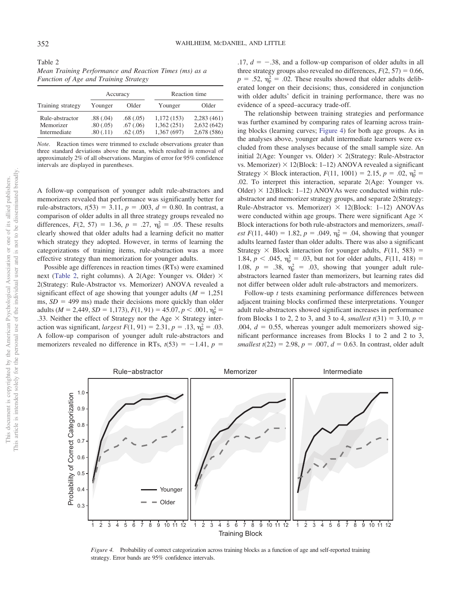<span id="page-6-0"></span>

| Table 2                                                |  |
|--------------------------------------------------------|--|
| Mean Training Performance and Reaction Times (ms) as a |  |
| <b>Function of Age and Training Strategy</b>           |  |

|                                              | Accuracy                         |                                  | Reaction time                           |                                         |
|----------------------------------------------|----------------------------------|----------------------------------|-----------------------------------------|-----------------------------------------|
| Training strategy                            | Younger                          | Older                            | Younger                                 | Older                                   |
| Rule-abstractor<br>Memorizer<br>Intermediate | .88(.04)<br>.80(.05)<br>.80(.11) | .68(.05)<br>.67(.06)<br>.62(.05) | 1,172(153)<br>1,362(251)<br>1,367 (697) | 2,283(461)<br>2,632(642)<br>2,678 (586) |

*Note.* Reaction times were trimmed to exclude observations greater than three standard deviations above the mean, which resulted in removal of approximately 2% of all observations. Margins of error for 95% confidence intervals are displayed in parentheses.

A follow-up comparison of younger adult rule-abstractors and memorizers revealed that performance was significantly better for rule-abstractors,  $t(53) = 3.11$ ,  $p = .003$ ,  $d = 0.80$ . In contrast, a comparison of older adults in all three strategy groups revealed no differences,  $F(2, 57) = 1.36$ ,  $p = .27$ ,  $\eta_p^2 = .05$ . These results clearly showed that older adults had a learning deficit no matter which strategy they adopted. However, in terms of learning the categorizations of training items, rule-abstraction was a more effective strategy than memorization for younger adults.

Possible age differences in reaction times (RTs) were examined next [\(Table 2,](#page-6-0) right columns). A 2(Age: Younger vs. Older)  $\times$ 2(Strategy: Rule-Abstractor vs. Memorizer) ANOVA revealed a significant effect of age showing that younger adults  $(M = 1,251)$ ms,  $SD = 499$  ms) made their decisions more quickly than older adults ( $M = 2,449$ ,  $SD = 1,173$ ),  $F(1, 91) = 45.07$ ,  $p < .001$ ,  $\eta_p^2 =$ .33. Neither the effect of Strategy nor the Age  $\times$  Strategy interaction was significant, *largest F*(1, 91) = 2.31,  $p = .13$ ,  $\eta_p^2 = .03$ . A follow-up comparison of younger adult rule-abstractors and memorizers revealed no difference in RTs,  $t(53) = -1.41$ ,  $p =$ 

 $.17, d = -.38$ , and a follow-up comparison of older adults in all three strategy groups also revealed no differences,  $F(2, 57) = 0.66$ ,  $p = .52$ ,  $\eta_{\rm p}^2 = .02$ . These results showed that older adults deliberated longer on their decisions; thus, considered in conjunction with older adults' deficit in training performance, there was no evidence of a speed–accuracy trade-off.

The relationship between training strategies and performance was further examined by comparing rates of learning across training blocks (learning curves; [Figure 4\)](#page-6-1) for both age groups. As in the analyses above, younger adult intermediate learners were excluded from these analyses because of the small sample size. An initial 2(Age: Younger vs. Older)  $\times$  2(Strategy: Rule-Abstractor vs. Memorizer)  $\times$  12(Block: 1–12) ANOVA revealed a significant Strategy  $\times$  Block interaction,  $F(11, 1001) = 2.15$ ,  $p = .02$ ,  $\eta_p^2 =$ .02. To interpret this interaction, separate 2(Age: Younger vs. Older)  $\times$  12(Block: 1–12) ANOVAs were conducted within ruleabstractor and memorizer strategy groups, and separate 2(Strategy: Rule-Abstractor vs. Memorizer)  $\times$  12(Block: 1-12) ANOVAs were conducted within age groups. There were significant Age  $\times$ Block interactions for both rule-abstractors and memorizers, *smallest F*(11, 440) = 1.82,  $p = .049$ ,  $\eta_p^2 = .04$ , showing that younger adults learned faster than older adults. There was also a significant Strategy  $\times$  Block interaction for younger adults,  $F(11, 583) =$ 1.84,  $p < .045$ ,  $\eta_p^2 = .03$ , but not for older adults,  $F(11, 418) =$ 1.08,  $p = .38$ ,  $\eta_p^2 = .03$ , showing that younger adult ruleabstractors learned faster than memorizers, but learning rates did not differ between older adult rule-abstractors and memorizers.

Follow-up *t* tests examining performance differences between adjacent training blocks confirmed these interpretations. Younger adult rule-abstractors showed significant increases in performance from Blocks 1 to 2, 2 to 3, and 3 to 4, *smallest*  $t(31) = 3.10, p =$ .004,  $d = 0.55$ , whereas younger adult memorizers showed significant performance increases from Blocks 1 to 2 and 2 to 3, *smallest t*(22) = 2.98,  $p = .007$ ,  $d = 0.63$ . In contrast, older adult



<span id="page-6-1"></span>*Figure 4.* Probability of correct categorization across training blocks as a function of age and self-reported training strategy. Error bands are 95% confidence intervals.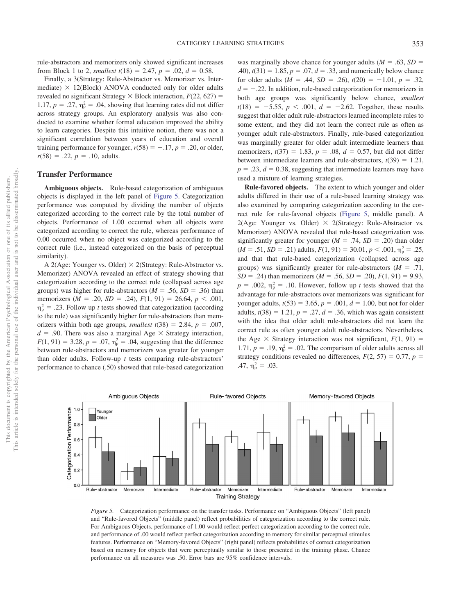rule-abstractors and memorizers only showed significant increases from Block 1 to 2, *smallest*  $t(18) = 2.47$ ,  $p = .02$ ,  $d = 0.58$ .

Finally, a 3(Strategy: Rule-Abstractor vs. Memorizer vs. Intermediate)  $\times$  12(Block) ANOVA conducted only for older adults revealed no significant Strategy  $\times$  Block interaction,  $F(22, 627) =$ 1.17,  $p = .27$ ,  $\eta_p^2 = .04$ , showing that learning rates did not differ across strategy groups. An exploratory analysis was also conducted to examine whether formal education improved the ability to learn categories. Despite this intuitive notion, there was not a significant correlation between years of education and overall training performance for younger,  $r(58) = -.17$ ,  $p = .20$ , or older,  $r(58) = .22, p = .10,$  adults.

# **Transfer Performance**

**Ambiguous objects.** Rule-based categorization of ambiguous objects is displayed in the left panel of [Figure 5.](#page-7-0) Categorization performance was computed by dividing the number of objects categorized according to the correct rule by the total number of objects. Performance of 1.00 occurred when all objects were categorized according to correct the rule, whereas performance of 0.00 occurred when no object was categorized according to the correct rule (i.e., instead categorized on the basis of perceptual similarity).

A 2(Age: Younger vs. Older)  $\times$  2(Strategy: Rule-Abstractor vs. Memorizer) ANOVA revealed an effect of strategy showing that categorization according to the correct rule (collapsed across age groups) was higher for rule-abstractors  $(M = .56, SD = .36)$  than memorizers  $(M = .20, SD = .24), F(1, 91) = 26.64, p < .001,$  $\eta_{\rm p}^2 = .23$ . Follow up *t* tests showed that categorization (according to the rule) was significantly higher for rule-abstractors than memorizers within both age groups, *smallest*  $t(38) = 2.84$ ,  $p = .007$ ,  $d = .90$ . There was also a marginal Age  $\times$  Strategy interaction,  $F(1, 91) = 3.28, p = .07, \eta_p^2 = .04$ , suggesting that the difference between rule-abstractors and memorizers was greater for younger than older adults. Follow-up *t* tests comparing rule-abstractors' performance to chance (.50) showed that rule-based categorization

was marginally above chance for younger adults  $(M = .63, SD =$  $(1.40)$ ,  $t(31) = 1.85$ ,  $p = .07$ ,  $d = .33$ , and numerically below chance for older adults ( $M = .44$ ,  $SD = .26$ ),  $t(20) = -1.01$ ,  $p = .32$ ,  $d = -.22$ . In addition, rule-based categorization for memorizers in both age groups was significantly below chance, *smallest*  $t(18) = -5.55, p < .001, d = -2.62$ . Together, these results suggest that older adult rule-abstractors learned incomplete rules to some extent, and they did not learn the correct rule as often as younger adult rule-abstractors. Finally, rule-based categorization was marginally greater for older adult intermediate learners than memorizers,  $t(37) = 1.83$ ,  $p = .08$ ,  $d = 0.57$ , but did not differ between intermediate learners and rule-abstractors,  $t(39) = 1.21$ ,  $p = 0.23$ ,  $d = 0.38$ , suggesting that intermediate learners may have used a mixture of learning strategies.

**Rule-favored objects.** The extent to which younger and older adults differed in their use of a rule-based learning strategy was also examined by comparing categorization according to the correct rule for rule-favored objects [\(Figure 5,](#page-7-0) middle panel). A 2(Age: Younger vs. Older)  $\times$  2(Strategy: Rule-Abstractor vs. Memorizer) ANOVA revealed that rule-based categorization was significantly greater for younger  $(M = .74, SD = .20)$  than older  $(M = .51, SD = .21)$  adults,  $F(1, 91) = 30.01, p < .001, \eta_{p}^{2} = .25$ , and that that rule-based categorization (collapsed across age groups) was significantly greater for rule-abstractors  $(M = .71,$  $SD = .24$ ) than memorizers ( $M = .56$ ,  $SD = .20$ ),  $F(1, 91) = 9.93$ ,  $p = .002$ ,  $\eta_p^2 = .10$ . However, follow up *t* tests showed that the advantage for rule-abstractors over memorizers was significant for younger adults,  $t(53) = 3.65$ ,  $p = .001$ ,  $d = 1.00$ , but not for older adults,  $t(38) = 1.21$ ,  $p = .27$ ,  $d = .36$ , which was again consistent with the idea that older adult rule-abstractors did not learn the correct rule as often younger adult rule-abstractors. Nevertheless, the Age  $\times$  Strategy interaction was not significant,  $F(1, 91) =$ 1.71,  $p = .19$ ,  $\eta_p^2 = .02$ . The comparison of older adults across all strategy conditions revealed no differences,  $F(2, 57) = 0.77$ ,  $p =$ .47,  $\eta_{\rm p}^2 = .03$ .



<span id="page-7-0"></span>*Figure 5.* Categorization performance on the transfer tasks. Performance on "Ambiguous Objects" (left panel) and "Rule-favored Objects" (middle panel) reflect probabilities of categorization according to the correct rule. For Ambiguous Objects, performance of 1.00 would reflect perfect categorization according to the correct rule, and performance of .00 would reflect perfect categorization according to memory for similar perceptual stimulus features. Performance on "Memory-favored Objects" (right panel) reflects probabilities of correct categorization based on memory for objects that were perceptually similar to those presented in the training phase. Chance performance on all measures was .50. Error bars are 95% confidence intervals.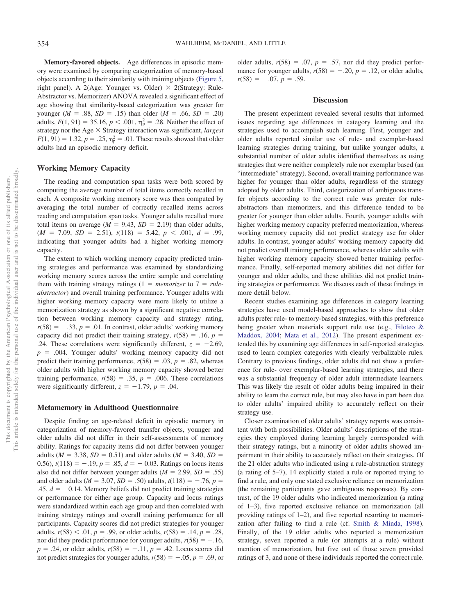**Memory-favored objects.** Age differences in episodic memory were examined by comparing categorization of memory-based objects according to their similarity with training objects [\(Figure 5,](#page-7-0) right panel). A 2(Age: Younger vs. Older)  $\times$  2(Strategy: Rule-Abstractor vs. Memorizer) ANOVA revealed a significant effect of age showing that similarity-based categorization was greater for younger ( $M = .88$ ,  $SD = .15$ ) than older ( $M = .66$ ,  $SD = .20$ ) adults,  $F(1, 91) = 35.16$ ,  $p < .001$ ,  $\eta_p^2 = .28$ . Neither the effect of strategy nor the Age  $\times$  Strategy interaction was significant, *largest*  $F(1, 91) = 1.32, p = .25, \eta_{p}^{2} = .01$ . These results showed that older adults had an episodic memory deficit.

# **Working Memory Capacity**

The reading and computation span tasks were both scored by computing the average number of total items correctly recalled in each. A composite working memory score was then computed by averaging the total number of correctly recalled items across reading and computation span tasks. Younger adults recalled more total items on average  $(M = 9.43, SD = 2.19)$  than older adults,  $(M = 7.09, SD = 2.51), t(118) = 5.42, p < .001, d = .99,$ indicating that younger adults had a higher working memory capacity.

The extent to which working memory capacity predicted training strategies and performance was examined by standardizing working memory scores across the entire sample and correlating them with training strategy ratings  $(1 = *memoryer* to 7 = *rule*$ *abstractor*) and overall training performance. Younger adults with higher working memory capacity were more likely to utilize a memorization strategy as shown by a significant negative correlation between working memory capacity and strategy rating,  $r(58) = -.33, p = .01$ . In contrast, older adults' working memory capacity did not predict their training strategy,  $r(58) = .16$ ,  $p =$ .24. These correlations were significantly different,  $z = -2.69$ ,  $p = 0.004$ . Younger adults' working memory capacity did not predict their training performance,  $r(58) = .03$ ,  $p = .82$ , whereas older adults with higher working memory capacity showed better training performance,  $r(58) = .35$ ,  $p = .006$ . These correlations were significantly different,  $z = -1.79$ ,  $p = .04$ .

### **Metamemory in Adulthood Questionnaire**

Despite finding an age-related deficit in episodic memory in categorization of memory-favored transfer objects, younger and older adults did not differ in their self-assessments of memory ability. Ratings for capacity items did not differ between younger adults ( $M = 3.38$ ,  $SD = 0.51$ ) and older adults ( $M = 3.40$ ,  $SD =$ 0.56),  $t(118) = -.19$ ,  $p = .85$ ,  $d = -0.03$ . Ratings on locus items also did not differ between younger adults  $(M = 2.99, SD = .55)$ and older adults ( $M = 3.07$ ,  $SD = .50$ ) adults,  $t(118) = -.76$ ,  $p =$  $.45, d = -0.14$ . Memory beliefs did not predict training strategies or performance for either age group. Capacity and locus ratings were standardized within each age group and then correlated with training strategy ratings and overall training performance for all participants. Capacity scores did not predict strategies for younger adults,  $r(58) < .01$ ,  $p = .99$ , or older adults,  $r(58) = .14$ ,  $p = .28$ , nor did they predict performance for younger adults,  $r(58) = -.16$ ,  $p = .24$ , or older adults,  $r(58) = -.11$ ,  $p = .42$ . Locus scores did not predict strategies for younger adults,  $r(58) = -.05$ ,  $p = .69$ , or

older adults,  $r(58) = .07$ ,  $p = .57$ , nor did they predict performance for younger adults,  $r(58) = -.20$ ,  $p = .12$ , or older adults,  $r(58) = -.07, p = .59.$ 

#### **Discussion**

The present experiment revealed several results that informed issues regarding age differences in category learning and the strategies used to accomplish such learning. First, younger and older adults reported similar use of rule- and exemplar-based learning strategies during training, but unlike younger adults, a substantial number of older adults identified themselves as using strategies that were neither completely rule nor exemplar based (an "intermediate" strategy). Second, overall training performance was higher for younger than older adults, regardless of the strategy adopted by older adults. Third, categorization of ambiguous transfer objects according to the correct rule was greater for ruleabstractors than memorizers, and this difference tended to be greater for younger than older adults. Fourth, younger adults with higher working memory capacity preferred memorization, whereas working memory capacity did not predict strategy use for older adults. In contrast, younger adults' working memory capacity did not predict overall training performance, whereas older adults with higher working memory capacity showed better training performance. Finally, self-reported memory abilities did not differ for younger and older adults, and these abilities did not predict training strategies or performance. We discuss each of these findings in more detail below.

Recent studies examining age differences in category learning strategies have used model-based approaches to show that older adults prefer rule- to memory-based strategies, with this preference being greater when materials support rule use (e.g., [Filoteo &](#page-10-3) [Maddox, 2004;](#page-10-3) [Mata et al., 2012\)](#page-10-4). The present experiment extended this by examining age differences in self-reported strategies used to learn complex categories with clearly verbalizable rules. Contrary to previous findings, older adults did not show a preference for rule- over exemplar-based learning strategies, and there was a substantial frequency of older adult intermediate learners. This was likely the result of older adults being impaired in their ability to learn the correct rule, but may also have in part been due to older adults' impaired ability to accurately reflect on their strategy use.

Closer examination of older adults' strategy reports was consistent with both possibilities. Older adults' descriptions of the strategies they employed during learning largely corresponded with their strategy ratings, but a minority of older adults showed impairment in their ability to accurately reflect on their strategies. Of the 21 older adults who indicated using a rule-abstraction strategy (a rating of 5–7), 14 explicitly stated a rule or reported trying to find a rule, and only one stated exclusive reliance on memorization (the remaining participants gave ambiguous responses). By contrast, of the 19 older adults who indicated memorization (a rating of 1–3), five reported exclusive reliance on memorization (all providing ratings of 1–2), and five reported resorting to memorization after failing to find a rule (cf. [Smith & Minda, 1998\)](#page-11-8). Finally, of the 19 older adults who reported a memorization strategy, seven reported a rule (or attempts at a rule) without mention of memorization, but five out of those seven provided ratings of 3, and none of these individuals reported the correct rule.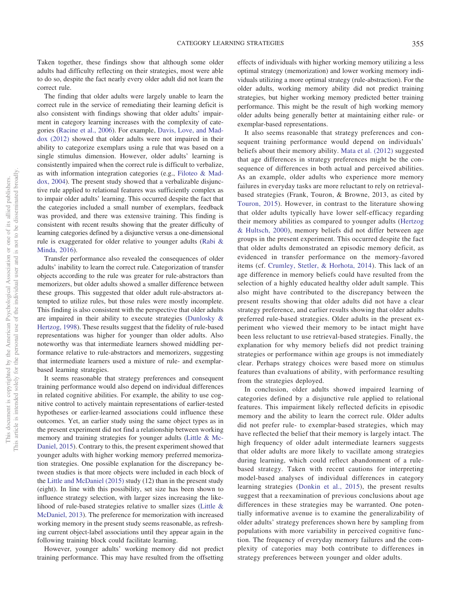Taken together, these findings show that although some older adults had difficulty reflecting on their strategies, most were able to do so, despite the fact nearly every older adult did not learn the correct rule.

The finding that older adults were largely unable to learn the correct rule in the service of remediating their learning deficit is also consistent with findings showing that older adults' impairment in category learning increases with the complexity of categories [\(Racine et al., 2006\)](#page-11-1). For example, [Davis, Love, and Mad](#page-10-31)[dox \(2012\)](#page-10-31) showed that older adults were not impaired in their ability to categorize exemplars using a rule that was based on a single stimulus dimension. However, older adults' learning is consistently impaired when the correct rule is difficult to verbalize, as with information integration categories (e.g., [Filoteo & Mad](#page-10-3)[dox, 2004\)](#page-10-3). The present study showed that a verbalizable disjunctive rule applied to relational features was sufficiently complex as to impair older adults' learning. This occurred despite the fact that the categories included a small number of exemplars, feedback was provided, and there was extensive training. This finding is consistent with recent results showing that the greater difficulty of learning categories defined by a disjunctive versus a one-dimensional rule is exaggerated for older relative to younger adults [\(Rabi &](#page-11-9) [Minda, 2016\)](#page-11-9).

Transfer performance also revealed the consequences of older adults' inability to learn the correct rule. Categorization of transfer objects according to the rule was greater for rule-abstractors than memorizers, but older adults showed a smaller difference between these groups. This suggested that older adult rule-abstractors attempted to utilize rules, but those rules were mostly incomplete. This finding is also consistent with the perspective that older adults are impaired in their ability to execute strategies [\(Dunlosky &](#page-10-32) [Hertzog, 1998\)](#page-10-32). These results suggest that the fidelity of rule-based representations was higher for younger than older adults. Also noteworthy was that intermediate learners showed middling performance relative to rule-abstractors and memorizers, suggesting that intermediate learners used a mixture of rule- and exemplarbased learning strategies.

It seems reasonable that strategy preferences and consequent training performance would also depend on individual differences in related cognitive abilities. For example, the ability to use cognitive control to actively maintain representations of earlier-tested hypotheses or earlier-learned associations could influence these outcomes. Yet, an earlier study using the same object types as in the present experiment did not find a relationship between working memory and training strategies for younger adults [\(Little & Mc-](#page-10-11)[Daniel, 2015\)](#page-10-11). Contrary to this, the present experiment showed that younger adults with higher working memory preferred memorization strategies. One possible explanation for the discrepancy between studies is that more objects were included in each block of the [Little and McDaniel \(2015\)](#page-10-11) study (12) than in the present study (eight). In line with this possibility, set size has been shown to influence strategy selection, with larger sizes increasing the likelihood of rule-based strategies relative to smaller sizes [\(Little &](#page-10-33) [McDaniel, 2013\)](#page-10-33). The preference for memorization with increased working memory in the present study seems reasonable, as refreshing current object-label associations until they appear again in the following training block could facilitate learning.

However, younger adults' working memory did not predict training performance. This may have resulted from the offsetting

effects of individuals with higher working memory utilizing a less optimal strategy (memorization) and lower working memory individuals utilizing a more optimal strategy (rule-abstraction). For the older adults, working memory ability did not predict training strategies, but higher working memory predicted better training performance. This might be the result of high working memory older adults being generally better at maintaining either rule- or exemplar-based representations.

It also seems reasonable that strategy preferences and consequent training performance would depend on individuals' beliefs about their memory ability. [Mata et al. \(2012\)](#page-10-4) suggested that age differences in strategy preferences might be the consequence of differences in both actual and perceived abilities. As an example, older adults who experience more memory failures in everyday tasks are more reluctant to rely on retrievalbased strategies (Frank, Touron, & Browne, 2013, as cited by [Touron, 2015\)](#page-11-4). However, in contrast to the literature showing that older adults typically have lower self-efficacy regarding their memory abilities as compared to younger adults [\(Hertzog](#page-10-34) [& Hultsch, 2000\)](#page-10-34), memory beliefs did not differ between age groups in the present experiment. This occurred despite the fact that older adults demonstrated an episodic memory deficit, as evidenced in transfer performance on the memory-favored items (cf. [Crumley, Stetler, & Horhota, 2014\)](#page-10-35). This lack of an age difference in memory beliefs could have resulted from the selection of a highly educated healthy older adult sample. This also might have contributed to the discrepancy between the present results showing that older adults did not have a clear strategy preference, and earlier results showing that older adults preferred rule-based strategies. Older adults in the present experiment who viewed their memory to be intact might have been less reluctant to use retrieval-based strategies. Finally, the explanation for why memory beliefs did not predict training strategies or performance within age groups is not immediately clear. Perhaps strategy choices were based more on stimulus features than evaluations of ability, with performance resulting from the strategies deployed.

In conclusion, older adults showed impaired learning of categories defined by a disjunctive rule applied to relational features. This impairment likely reflected deficits in episodic memory and the ability to learn the correct rule. Older adults did not prefer rule- to exemplar-based strategies, which may have reflected the belief that their memory is largely intact. The high frequency of older adult intermediate learners suggests that older adults are more likely to vacillate among strategies during learning, which could reflect abandonment of a rulebased strategy. Taken with recent cautions for interpreting model-based analyses of individual differences in category learning strategies [\(Donkin et al., 2015\)](#page-10-10), the present results suggest that a reexamination of previous conclusions about age differences in these strategies may be warranted. One potentially informative avenue is to examine the generalizability of older adults' strategy preferences shown here by sampling from populations with more variability in perceived cognitive function. The frequency of everyday memory failures and the complexity of categories may both contribute to differences in strategy preferences between younger and older adults.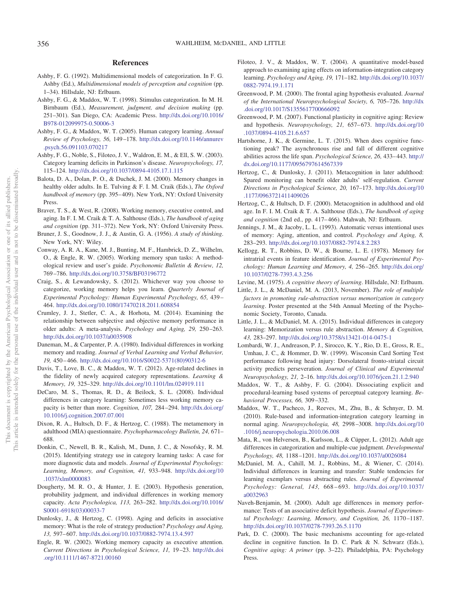### **References**

- <span id="page-10-6"></span>Ashby, F. G. (1992). Multidimensional models of categorization. In F. G. Ashby (Ed.), *Multidimensional models of perception and cognition* (pp. 1–34). Hillsdale, NJ: Erlbaum.
- <span id="page-10-5"></span>Ashby, F. G., & Maddox, W. T. (1998). Stimulus categorization. In M. H. Birnbaum (Ed.), *Measurement, judgment, and decision making* (pp. 251–301). San Diego, CA: Academic Press. [http://dx.doi.org/10.1016/](http://dx.doi.org/10.1016/B978-012099975-0.50006-3) [B978-012099975-0.50006-3](http://dx.doi.org/10.1016/B978-012099975-0.50006-3)
- <span id="page-10-7"></span>Ashby, F. G., & Maddox, W. T. (2005). Human category learning. *Annual Review of Psychology, 56,* 149 –178. [http://dx.doi.org/10.1146/annurev](http://dx.doi.org/10.1146/annurev.psych.56.091103.070217) [.psych.56.091103.070217](http://dx.doi.org/10.1146/annurev.psych.56.091103.070217)
- <span id="page-10-8"></span>Ashby, F. G., Noble, S., Filoteo, J. V., Waldron, E. M., & Ell, S. W. (2003). Category learning deficits in Parkinson's disease. *Neuropsychology, 17,* 115–124. <http://dx.doi.org/10.1037/0894-4105.17.1.115>
- <span id="page-10-13"></span>Balota, D. A., Dolan, P. O., & Duchek, J. M. (2000). Memory changes in healthy older adults. In E. Tulving & F. I. M. Craik (Eds.), *The Oxford handbook of memory* (pp. 395– 409). New York, NY: Oxford University Press.
- <span id="page-10-14"></span>Braver, T. S., & West, R. (2008). Working memory, executive control, and aging. In F. I. M. Craik & T. A. Salthouse (Eds.), *The handbook of aging and cognition* (pp. 311–372). New York, NY: Oxford University Press.
- <span id="page-10-0"></span>Bruner, J. S., Goodnow, J. J., & Austin, G. A. (1956). *A study of thinking*. New York, NY: Wiley.
- <span id="page-10-29"></span>Conway, A. R. A., Kane, M. J., Bunting, M. F., Hambrick, D. Z., Wilhelm, O., & Engle, R. W. (2005). Working memory span tasks: A methodological review and user's guide. *Psychonomic Bulletin & Review, 12,* 769 –786. <http://dx.doi.org/10.3758/BF03196772>
- <span id="page-10-23"></span>Craig, S., & Lewandowsky, S. (2012). Whichever way you choose to categorize, working memory helps you learn. *Quarterly Journal of Experimental Psychology: Human Experimental Psychology, 65,* 439 – 464. <http://dx.doi.org/10.1080/17470218.2011.608854>
- <span id="page-10-35"></span>Crumley, J. J., Stetler, C. A., & Horhota, M. (2014). Examining the relationship between subjective and objective memory performance in older adults: A meta-analysis. *Psychology and Aging, 29,* 250 –263. <http://dx.doi.org/10.1037/a0035908>
- <span id="page-10-30"></span>Daneman, M., & Carpenter, P. A. (1980). Individual differences in working memory and reading. *Journal of Verbal Learning and Verbal Behavior, 19,* 450 – 466. [http://dx.doi.org/10.1016/S0022-5371\(80\)90312-6](http://dx.doi.org/10.1016/S0022-5371%2880%2990312-6)
- <span id="page-10-31"></span>Davis, T., Love, B. C., & Maddox, W. T. (2012). Age-related declines in the fidelity of newly acquired category representations. *Learning & Memory, 19,* 325–329. <http://dx.doi.org/10.1101/lm.024919.111>
- <span id="page-10-24"></span>DeCaro, M. S., Thomas, R. D., & Beilock, S. L. (2008). Individual differences in category learning: Sometimes less working memory capacity is better than more. *Cognition, 107,* 284 –294. [http://dx.doi.org/](http://dx.doi.org/10.1016/j.cognition.2007.07.001) [10.1016/j.cognition.2007.07.001](http://dx.doi.org/10.1016/j.cognition.2007.07.001)
- <span id="page-10-28"></span>Dixon, R. A., Hultsch, D. F., & Hertzog, C. (1988). The metamemory in adulthood (MIA) questionnaire. *Psychopharmacology Bulletin, 24,* 671– 688.
- <span id="page-10-10"></span>Donkin, C., Newell, B. R., Kalish, M., Dunn, J. C., & Nosofsky, R. M. (2015). Identifying strategy use in category learning tasks: A case for more diagnostic data and models. *Journal of Experimental Psychology: Learning, Memory, and Cognition, 41,* 933–948. [http://dx.doi.org/10](http://dx.doi.org/10.1037/xlm0000083) [.1037/xlm0000083](http://dx.doi.org/10.1037/xlm0000083)
- <span id="page-10-25"></span>Dougherty, M. R. O., & Hunter, J. E. (2003). Hypothesis generation, probability judgment, and individual differences in working memory capacity. *Acta Psychologica, 113,* 263–282. [http://dx.doi.org/10.1016/](http://dx.doi.org/10.1016/S0001-6918%2803%2900033-7) [S0001-6918\(03\)00033-7](http://dx.doi.org/10.1016/S0001-6918%2803%2900033-7)
- <span id="page-10-32"></span>Dunlosky, J., & Hertzog, C. (1998). Aging and deficits in associative memory: What is the role of strategy production? *Psychology and Aging, 13,* 597– 607. <http://dx.doi.org/10.1037/0882-7974.13.4.597>
- <span id="page-10-26"></span>Engle, R. W. (2002). Working memory capacity as executive attention. *Current Directions in Psychological Science, 11,* 19 –23. [http://dx.doi](http://dx.doi.org/10.1111/1467-8721.00160) [.org/10.1111/1467-8721.00160](http://dx.doi.org/10.1111/1467-8721.00160)
- <span id="page-10-3"></span>Filoteo, J. V., & Maddox, W. T. (2004). A quantitative model-based approach to examining aging effects on information-integration category learning. *Psychology and Aging, 19,* 171–182. [http://dx.doi.org/10.1037/](http://dx.doi.org/10.1037/0882-7974.19.1.171) [0882-7974.19.1.171](http://dx.doi.org/10.1037/0882-7974.19.1.171)
- <span id="page-10-16"></span>Greenwood, P. M. (2000). The frontal aging hypothesis evaluated. *Journal of the International Neuropsychological Society, 6,* 705–726. [http://dx](http://dx.doi.org/10.1017/S1355617700666092) [.doi.org/10.1017/S1355617700666092](http://dx.doi.org/10.1017/S1355617700666092)
- <span id="page-10-17"></span>Greenwood, P. M. (2007). Functional plasticity in cognitive aging: Review and hypothesis. *Neuropsychology, 21,* 657– 673. [http://dx.doi.org/10](http://dx.doi.org/10.1037/0894-4105.21.6.657) [.1037/0894-4105.21.6.657](http://dx.doi.org/10.1037/0894-4105.21.6.657)
- <span id="page-10-1"></span>Hartshorne, J. K., & Germine, L. T. (2015). When does cognitive functioning peak? The asynchronous rise and fall of different cognitive abilities across the life span. *Psychological Science, 26,* 433– 443. [http://](http://dx.doi.org/10.1177/0956797614567339) [dx.doi.org/10.1177/0956797614567339](http://dx.doi.org/10.1177/0956797614567339)
- <span id="page-10-27"></span>Hertzog, C., & Dunlosky, J. (2011). Metacognition in later adulthood: Spared monitoring can benefit older adults' self-regulation. *Current Directions in Psychological Science, 20,* 167–173. [http://dx.doi.org/10](http://dx.doi.org/10.1177/0963721411409026) [.1177/0963721411409026](http://dx.doi.org/10.1177/0963721411409026)
- <span id="page-10-34"></span>Hertzog, C., & Hultsch, D. F. (2000). Metacognition in adulthood and old age. In F. I. M. Craik & T. A. Salthouse (Eds.), *The handbook of aging and cognition* (2nd ed., pp. 417– 466). Mahwah, NJ: Erlbaum.
- <span id="page-10-21"></span>Jennings, J. M., & Jacoby, L. L. (1993). Automatic versus intentional uses of memory: Aging, attention, and control. *Psychology and Aging, 8,* 283–293. <http://dx.doi.org/10.1037/0882-7974.8.2.283>
- <span id="page-10-19"></span>Kellogg, R. T., Robbins, D. W., & Bourne, L. E. (1978). Memory for intratrial events in feature identification. *Journal of Experimental Psychology: Human Learning and Memory, 4,* 256 –265. [http://dx.doi.org/](http://dx.doi.org/10.1037/0278-7393.4.3.256) [10.1037/0278-7393.4.3.256](http://dx.doi.org/10.1037/0278-7393.4.3.256)
- <span id="page-10-22"></span>Levine, M. (1975). *A cognitive theory of learning*. Hillsdale, NJ: Erlbaum.
- <span id="page-10-33"></span>Little, J. L., & McDaniel, M. A. (2013, November). *The role of multiple factors in promoting rule-abstraction versus memorization in category learning*. Poster presented at the 54th Annual Meeting of the Psychonomic Society, Toronto, Canada.
- <span id="page-10-11"></span>Little, J. L., & McDaniel, M. A. (2015). Individual differences in category learning: Memorization versus rule abstraction. *Memory & Cognition, 43,* 283–297. <http://dx.doi.org/10.3758/s13421-014-0475-1>
- <span id="page-10-15"></span>Lombardi, W. J., Andreason, P. J., Sirocco, K. Y., Rio, D. E., Gross, R. E., Umhau, J. C., & Hommer, D. W. (1999). Wisconsin Card Sorting Test performance following head injury: Dorsolateral fronto-striatal circuit activity predicts perseveration. *Journal of Clinical and Experimental Neuropsychology, 21,* 2–16. <http://dx.doi.org/10.1076/jcen.21.1.2.940>
- <span id="page-10-20"></span>Maddox, W. T., & Ashby, F. G. (2004). Dissociating explicit and procedural-learning based systems of perceptual category learning. *Behavioral Processes, 66,* 309 –332.
- <span id="page-10-9"></span>Maddox, W. T., Pacheco, J., Reeves, M., Zhu, B., & Schnyer, D. M. (2010). Rule-based and information-integration category learning in normal aging. *Neuropsychologia, 48,* 2998 –3008. [http://dx.doi.org/10](http://dx.doi.org/10.1016/j.neuropsychologia.2010.06.008) [.1016/j.neuropsychologia.2010.06.008](http://dx.doi.org/10.1016/j.neuropsychologia.2010.06.008)
- <span id="page-10-4"></span>Mata, R., von Helversen, B., Karlsson, L., & Cüpper, L. (2012). Adult age differences in categorization and multiple-cue judgment. *Developmental Psychology, 48,* 1188 –1201. <http://dx.doi.org/10.1037/a0026084>
- <span id="page-10-12"></span>McDaniel, M. A., Cahill, M. J., Robbins, M., & Wiener, C. (2014). Individual differences in learning and transfer: Stable tendencies for learning exemplars versus abstracting rules. *Journal of Experimental Psychology: General, 143,* 668 – 693. [http://dx.doi.org/10.1037/](http://dx.doi.org/10.1037/a0032963) [a0032963](http://dx.doi.org/10.1037/a0032963)
- <span id="page-10-18"></span>Naveh-Benjamin, M. (2000). Adult age differences in memory performance: Tests of an associative deficit hypothesis. *Journal of Experimental Psychology: Learning, Memory, and Cognition, 26,* 1170 –1187. <http://dx.doi.org/10.1037/0278-7393.26.5.1170>
- <span id="page-10-2"></span>Park, D. C. (2000). The basic mechanisms accounting for age-related decline in cognitive function. In D. C. Park & N. Schwarz (Eds.), *Cognitive aging: A primer* (pp. 3–22). Philadelphia, PA: Psychology Press.